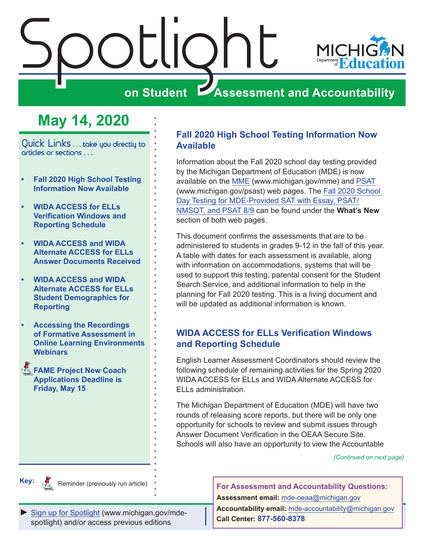<span id="page-0-0"></span>



Quick Links . . . take you directly to articles or sections . . .

- **• Fall 2020 High School Testing Information Now Available**
- **• WIDA ACCESS for ELLs Verification Windows and Reporting Schedule**
- **• [WIDA ACCESS and WIDA](#page-1-0)  [Alternate ACCESS for ELLs](#page-1-0)  [Answer Documents Received](#page-1-0)**
- **• [WIDA ACCESS and WIDA](#page-2-0)  [Alternate ACCESS for ELLs](#page-2-0)  [Student Demographics for](#page-2-0)  [Reporting](#page-2-0)**
- **• [Accessing the Recordings](#page-2-0)  [of Formative Assessment in](#page-2-0)  [Online Learning Environments](#page-2-0)  [Webinars](#page-2-0)**
- **FAME Project New Coach [Applications Deadline is](#page-3-0)  [Friday, May 15](#page-3-0)**

#### **Fall 2020 High School Testing Information Now Available**

Information about the Fall 2020 school day testing provided by the Michigan Department of Education (MDE) is now available on the [MME](www.michigan.gov/mme) (www.michigan.gov/mme) and [PSAT](http://www.michigan.gov/psat) (www.michigan.gov/psast) web pages. The [Fall 2020 School](https://www.michigan.gov/documents/mde/Fall_2020_School_Day_Testing_for_MDE_Provided_Assessments_690609_7.pdf)  [Day Testing for MDE-Provided SAT with Essay, PSAT/](https://www.michigan.gov/documents/mde/Fall_2020_School_Day_Testing_for_MDE_Provided_Assessments_690609_7.pdf) [NMSQT, and PSAT 8/9](https://www.michigan.gov/documents/mde/Fall_2020_School_Day_Testing_for_MDE_Provided_Assessments_690609_7.pdf) can be found under the **What's New** section of both web pages.

This document confirms the assessments that are to be administered to students in grades 9-12 in the fall of this year. A table with dates for each assessment is available, along with information on accommodations, systems that will be used to support this testing, parental consent for the Student Search Service, and additional information to help in the planning for Fall 2020 testing. This is a living document and will be updated as additional information is known.

#### **WIDA ACCESS for ELLs Verification Windows and Reporting Schedule**

English Learner Assessment Coordinators should review the following schedule of remaining activities for the Spring 2020 WIDA ACCESS for ELLs and WIDA Alternate ACCESS for ELLs administration.

The Michigan Department of Education (MDE) will have two rounds of releasing score reports, but there will be only one opportunity for schools to review and submit issues through Answer Document Verification in the OEAA Secure Site. Schools will also have an opportunity to view the Accountable

*(Continued on next page)*



Reminder (previously run article)

[Sign up for Spotlight](https://public.govdelivery.com/accounts/MIMDE/subscriber/new) [\(www.michigan.gov/mde](www.michigan.gov/mde-spotlight)spotlight) and/or access previous editions

**For Assessment and Accountability Questions: Assessment email:** mde-oeaa[@michigan.gov](mailto:mde-oeaa%40michigan.gov?subject=assessment%20question) **Accountability email:** md[e-accountability@michigan.gov](mailto:MDE-Accountability%40michigan.gov?subject=Accountability%20question) **Call Center: 877-560-8378**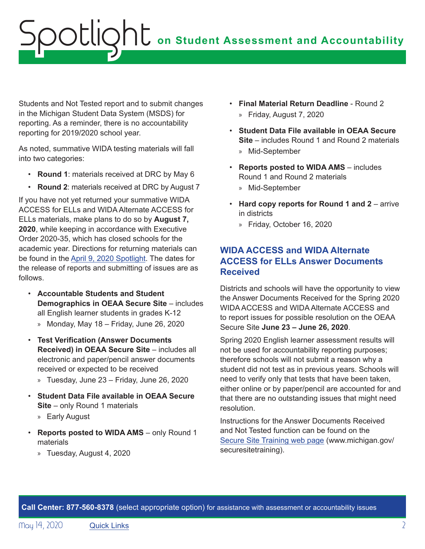## <span id="page-1-0"></span>**on Student Assessment and Accountability** Spotlight

Students and Not Tested report and to submit changes in the Michigan Student Data System (MSDS) for reporting. As a reminder, there is no accountability reporting for 2019/2020 school year.

As noted, summative WIDA testing materials will fall into two categories:

- **Round 1**: materials received at DRC by May 6
- **Round 2**: materials received at DRC by August 7

If you have not yet returned your summative WIDA ACCESS for ELLs and WIDA Alternate ACCESS for ELLs materials, make plans to do so by **August 7, 2020**, while keeping in accordance with Executive Order 2020-35, which has closed schools for the academic year. Directions for returning materials can be found in the [April 9, 2020 Spotlight.](https://www.michigan.gov/documents/mde/Spotlight_4-9-20_686552_7.pdf) The dates for the release of reports and submitting of issues are as follows.

- **Accountable Students and Student Demographics in OEAA Secure Site** – includes all English learner students in grades K-12
	- » Monday, May 18 Friday, June 26, 2020
- **Test Verification (Answer Documents Received) in OEAA Secure Site** – includes all electronic and paper/pencil answer documents received or expected to be received
	- » Tuesday, June 23 Friday, June 26, 2020
- **Student Data File available in OEAA Secure Site** – only Round 1 materials
	- » Early August
- **Reports posted to WIDA AMS** only Round 1 materials
	- » Tuesday, August 4, 2020
- **Final Material Return Deadline** Round 2 » Friday, August 7, 2020
- **Student Data File available in OEAA Secure Site** – includes Round 1 and Round 2 materials » Mid-September
- **Reports posted to WIDA AMS** includes Round 1 and Round 2 materials » Mid-September
- **Hard copy reports for Round 1 and 2** arrive in districts
	- » Friday, October 16, 2020

#### **WIDA ACCESS and WIDA Alternate ACCESS for ELLs Answer Documents Received**

Districts and schools will have the opportunity to view the Answer Documents Received for the Spring 2020 WIDA ACCESS and WIDA Alternate ACCESS and to report issues for possible resolution on the OEAA Secure Site **June 23 – June 26, 2020**.

Spring 2020 English learner assessment results will not be used for accountability reporting purposes; therefore schools will not submit a reason why a student did not test as in previous years. Schools will need to verify only that tests that have been taken, either online or by paper/pencil are accounted for and that there are no outstanding issues that might need resolution.

Instructions for the Answer Documents Received and Not Tested function can be found on the [Secure Site Training web page](http://www.michigan.gov/securesitetraining) (www.michigan.gov/ securesitetraining).

**Call Center: 877-560-8378** (select appropriate option) for assistance with assessment or accountability issues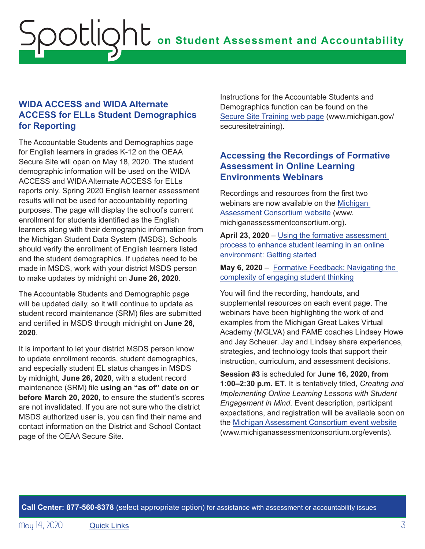#### <span id="page-2-0"></span>**WIDA ACCESS and WIDA Alternate ACCESS for ELLs Student Demographics for Reporting**

The Accountable Students and Demographics page for English learners in grades K-12 on the OEAA Secure Site will open on May 18, 2020. The student demographic information will be used on the WIDA ACCESS and WIDA Alternate ACCESS for ELLs reports only. Spring 2020 English learner assessment results will not be used for accountability reporting purposes. The page will display the school's current enrollment for students identified as the English learners along with their demographic information from the Michigan Student Data System (MSDS). Schools should verify the enrollment of English learners listed and the student demographics. If updates need to be made in MSDS, work with your district MSDS person to make updates by midnight on **June 26, 2020**.

The Accountable Students and Demographic page will be updated daily, so it will continue to update as student record maintenance (SRM) files are submitted and certified in MSDS through midnight on **June 26, 2020**.

It is important to let your district MSDS person know to update enrollment records, student demographics, and especially student EL status changes in MSDS by midnight, **June 26, 2020**, with a student record maintenance (SRM) file **using an "as of" date on or before March 20, 2020**, to ensure the student's scores are not invalidated. If you are not sure who the district MSDS authorized user is, you can find their name and contact information on the District and School Contact page of the OEAA Secure Site.

Instructions for the Accountable Students and Demographics function can be found on the [Secure Site Training web page](http://www.michigan.gov/securesitetraining) (www.michigan.gov/ securesitetraining).

#### **Accessing the Recordings of Formative Assessment in Online Learning Environments Webinars**

Recordings and resources from the first two webinars are now available on the [Michigan](http://www.michiganassessmentconsortium.org)  [Assessment Consortium website](http://www.michiganassessmentconsortium.org) (www. michiganassessmentconsortium.org).

**April 23, 2020** – Using the formative assessment [process to enhance student learning in an online](https://www.michiganassessmentconsortium.org/event/using-the-formative-assessment-process-to-enhance-student-learning-in-an-online-environment-getting-started/.)  [environment: Getting started](https://www.michiganassessmentconsortium.org/event/using-the-formative-assessment-process-to-enhance-student-learning-in-an-online-environment-getting-started/.)

**May 6, 2020** – [Formative Feedback: Navigating the](https://www.michiganassessmentconsortium.org/event/navigating-the-complexity-of-engaging-student-thinking-using-the-formative-assessment-process-to-enhance-student-learning-in-an-online-environment/)  [complexity of engaging student thinking](https://www.michiganassessmentconsortium.org/event/navigating-the-complexity-of-engaging-student-thinking-using-the-formative-assessment-process-to-enhance-student-learning-in-an-online-environment/)

You will find the recording, handouts, and supplemental resources on each event page. The webinars have been highlighting the work of and examples from the Michigan Great Lakes Virtual Academy (MGLVA) and FAME coaches Lindsey Howe and Jay Scheuer. Jay and Lindsey share experiences, strategies, and technology tools that support their instruction, curriculum, and assessment decisions.

**Session #3** is scheduled for **June 16, 2020, from 1:00–2:30 p.m. ET**. It is tentatively titled, *Creating and Implementing Online Learning Lessons with Student Engagement in Mind*. Event description, participant expectations, and registration will be available soon on the [Michigan Assessment Consortium event website](http://www.michiganassessmentconsortium.org/events) (www.michiganassessmentconsortium.org/events).

**Call Center: 877-560-8378** (select appropriate option) for assistance with assessment or accountability issues